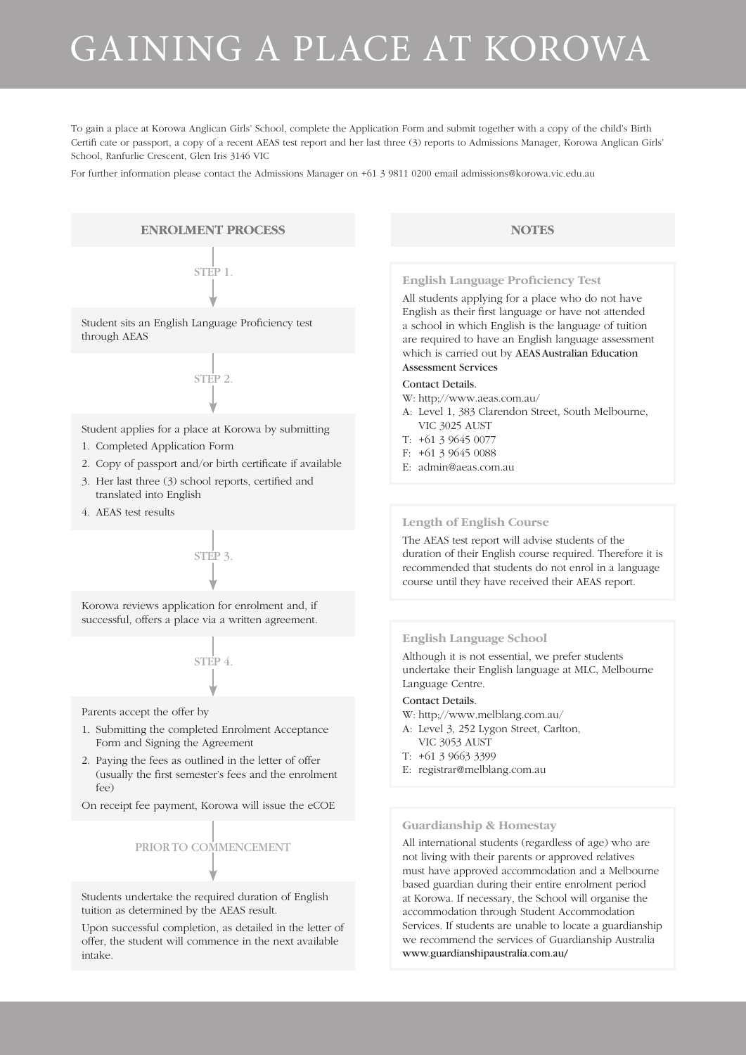# GAINING A PLACE AT KOROWA

To gain a place at Korowa Anglican Girls' School, complete the Application Form and submit together with a copy of the child's Birth Certifi cate or passport, a copy of a recent AEAS test report and her last three (3) reports to Admissions Manager, Korowa Anglican Girls' School, Ranfurlie Crescent, Glen Iris 3146 VIC

For further information please contact the Admissions Manager on +61 3 9811 0200 email admissions@korowa.vic.edu.au

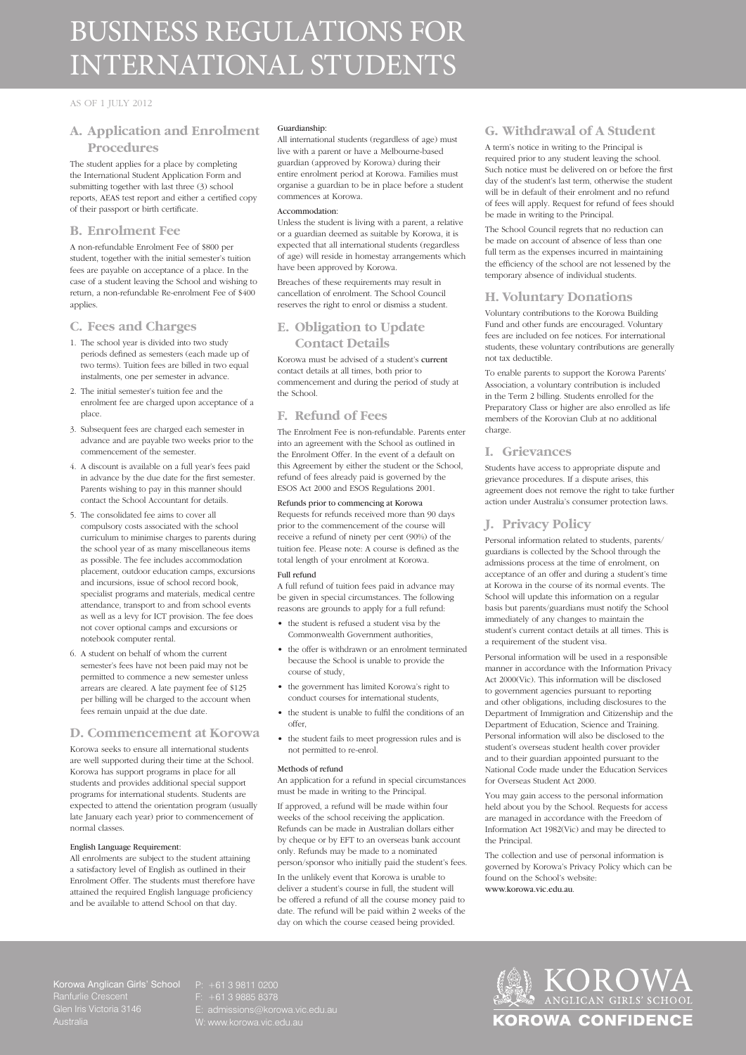# BUSINESS REGULATIONS FOR INTERNATIONAL STUDENTS

#### AS OF 1 JULY 2012

### **A. Application and Enrolment Procedures**

The student applies for a place by completing the International Student Application Form and submitting together with last three (3) school reports, AEAS test report and either a certified copy of their passport or birth certificate.

#### **B. Enrolment Fee**

A non-refundable Enrolment Fee of \$800 per student, together with the initial semester's tuition fees are payable on acceptance of a place. In the case of a student leaving the School and wishing to return, a non-refundable Re-enrolment Fee of \$400 applies.

#### **C. Fees and Charges**

- 1. The school year is divided into two study periods defined as semesters (each made up of two terms). Tuition fees are billed in two equal instalments, one per semester in advance.
- 2. The initial semester's tuition fee and the enrolment fee are charged upon acceptance of a place.
- 3. Subsequent fees are charged each semester in advance and are payable two weeks prior to the commencement of the semester.
- 4. A discount is available on a full year's fees paid in advance by the due date for the first seme Parents wishing to pay in this manner should contact the School Accountant for details.
- 5. The consolidated fee aims to cover all compulsory costs associated with the school curriculum to minimise charges to parents during the school year of as many miscellaneous items as possible. The fee includes accommodation placement, outdoor education camps, excursions and incursions, issue of school record book, specialist programs and materials, medical centre attendance, transport to and from school events as well as a levy for ICT provision. The fee does not cover optional camps and excursions or notebook computer rental.
- 6. A student on behalf of whom the current semester's fees have not been paid may not be permitted to commence a new semester unless arrears are cleared. A late payment fee of \$125 per billing will be charged to the account when fees remain unpaid at the due date.

#### **D. Commencement at Korowa**

Korowa seeks to ensure all international students are well supported during their time at the School. Korowa has support programs in place for all students and provides additional special support programs for international students. Students are expected to attend the orientation program (usually late January each year) prior to commencement of normal classes.

#### English Language Requirement:

All enrolments are subject to the student attaining a satisfactory level of English as outlined in their Enrolment Offer. The students must therefore have attained the required English language proficiency and be available to attend School on that day.

#### Guardianship:

All international students (regardless of age) must live with a parent or have a Melbourne-based guardian (approved by Korowa) during their entire enrolment period at Korowa. Families must organise a guardian to be in place before a student commences at Korowa.

#### Accommodation:

Unless the student is living with a parent, a relative or a guardian deemed as suitable by Korowa, it is expected that all international students (regardless of age) will reside in homestay arrangements which have been approved by Korowa.

Breaches of these requirements may result in cancellation of enrolment. The School Council reserves the right to enrol or dismiss a student.

#### **E. Obligation to Update Contact Details**

Korowa must be advised of a student's current contact details at all times, both prior to commencement and during the period of study at the School.

#### **F. Refund of Fees**

The Enrolment Fee is non-refundable. Parents enter into an agreement with the School as outlined in the Enrolment Offer. In the event of a default on this Agreement by either the student or the School, refund of fees already paid is governed by the ESOS Act 2000 and ESOS Regulations 2001.

# Refunds prior to commencing at Korowa

Requests for refunds received more than 90 days prior to the commencement of the course will receive a refund of ninety per cent (90%) of the tuition fee. Please note: A course is defined as the total length of your enrolment at Korowa.

#### Full refund

A full refund of tuition fees paid in advance may be given in special circumstances. The following reasons are grounds to apply for a full refund:

- • the student is refused a student visa by the Commonwealth Government authorities,
- the offer is withdrawn or an enrolment terminated because the School is unable to provide the course of study,
- • the government has limited Korowa's right to conduct courses for international students,
- the student is unable to fulfil the conditions of an offer,
- the student fails to meet progression rules and is not permitted to re-enrol.

#### Methods of refund

An application for a refund in special circumstances must be made in writing to the Principal.

If approved, a refund will be made within four weeks of the school receiving the application. Refunds can be made in Australian dollars either by cheque or by EFT to an overseas bank account only. Refunds may be made to a nominated person/sponsor who initially paid the student's fees.

In the unlikely event that Korowa is unable to deliver a student's course in full, the student will be offered a refund of all the course money paid to date. The refund will be paid within 2 weeks of the day on which the course ceased being provided.

#### **G. Withdrawal of A Student**

A term's notice in writing to the Principal is required prior to any student leaving the school. Such notice must be delivered on or before the first day of the student's last term, otherwise the student will be in default of their enrolment and no refund of fees will apply. Request for refund of fees should be made in writing to the Principal.

The School Council regrets that no reduction can be made on account of absence of less than one full term as the expenses incurred in maintaining the efficiency of the school are not lessened by the temporary absence of individual students.

#### **H. Voluntary Donations**

Voluntary contributions to the Korowa Building Fund and other funds are encouraged. Voluntary fees are included on fee notices. For international students, these voluntary contributions are generally not tax deductible.

To enable parents to support the Korowa Parents' Association, a voluntary contribution is included in the Term 2 billing. Students enrolled for the Preparatory Class or higher are also enrolled as life members of the Korovian Club at no additional charge.

#### **I. Grievances**

Students have access to appropriate dispute and grievance procedures. If a dispute arises, this agreement does not remove the right to take further action under Australia's consumer protection laws.

#### **J. Privacy Policy**

Personal information related to students, parents/ guardians is collected by the School through the admissions process at the time of enrolment, on acceptance of an offer and during a student's time at Korowa in the course of its normal events. The School will update this information on a regular basis but parents/guardians must notify the School immediately of any changes to maintain the student's current contact details at all times. This is a requirement of the student visa.

Personal information will be used in a responsible manner in accordance with the Information Privacy Act 2000(Vic). This information will be disclosed to government agencies pursuant to reporting and other obligations, including disclosures to the Department of Immigration and Citizenship and the Department of Education, Science and Training. Personal information will also be disclosed to the student's overseas student health cover provider and to their guardian appointed pursuant to the National Code made under the Education Services for Overseas Student Act 2000.

You may gain access to the personal information held about you by the School. Requests for access are managed in accordance with the Freedom of Information Act 1982(Vic) and may be directed to the Principal.

The collection and use of personal information is governed by Korowa's Privacy Policy which can be found on the School's website: www.korowa.vic.edu.au.

Korowa Anglican Girls' School Ranfurlie Crescent

F: +61 3 9885 8378

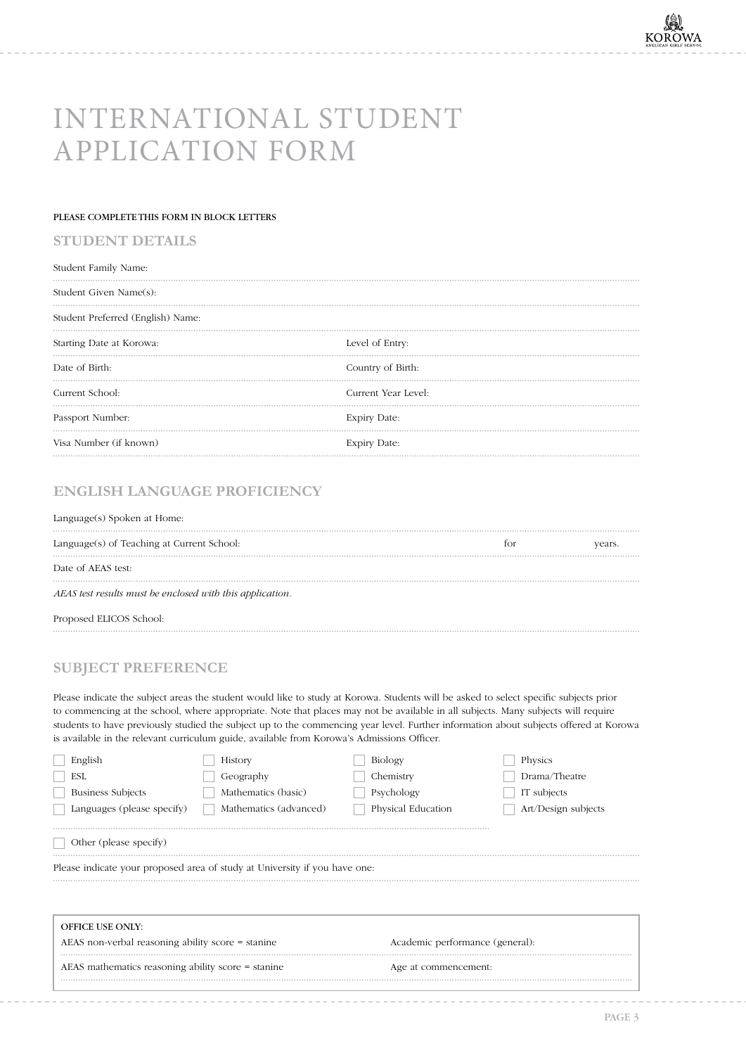# INTERNATIONAL STUDENT APPLICATION FORM

#### PLEASE COMPLETE THIS FORM IN BLOCK LETTERS

## **STUDENT DETAILS**

| Student Family Name:              |                     |
|-----------------------------------|---------------------|
| Student Given Name(s):            |                     |
| Student Preferred (English) Name: |                     |
| Starting Date at Korowa:          | Level of Entry:     |
| Date of Birth:                    | Country of Birth:   |
| Current School:                   | Current Year Level: |
| Passport Number:                  | <b>Expiry Date:</b> |
| Visa Number (if known)            | <b>Expiry Date:</b> |

# **ENGLISH LANGUAGE PROFICIENCY**

#### Language(s) Spoken at Home:

| Language(s) of Teaching at Current School:                | tor | vears. |
|-----------------------------------------------------------|-----|--------|
| Date of AEAS test:                                        |     |        |
| AEAS test results must be enclosed with this application. |     |        |
| Proposed ELICOS School:                                   |     |        |

# **SUBJECT PREFERENCE**

Please indicate the subject areas the student would like to study at Korowa. Students will be asked to select specific subjects prior to commencing at the school, where appropriate. Note that places may not be available in all subjects. Many subjects will require students to have previously studied the subject up to the commencing year level. Further information about subjects offered at Korowa is available in the relevant curriculum guide, available from Korowa's Admissions Officer.

| English                                                                                              | <b>History</b>         | Biology              | Physics                         |  |  |
|------------------------------------------------------------------------------------------------------|------------------------|----------------------|---------------------------------|--|--|
| <b>ESL</b>                                                                                           | Geography              | Chemistry            | Drama/Theatre                   |  |  |
| <b>Business Subjects</b>                                                                             | Mathematics (basic)    | Psychology           | IT subjects                     |  |  |
| Languages (please specify)                                                                           | Mathematics (advanced) | Physical Education   | Art/Design subjects             |  |  |
| Other (please specify)<br>Please indicate your proposed area of study at University if you have one: |                        |                      |                                 |  |  |
| <b>OFFICE USE ONLY:</b>                                                                              |                        |                      |                                 |  |  |
| AEAS non-verbal reasoning ability score = stanine                                                    |                        |                      | Academic performance (general): |  |  |
| AEAS mathematics reasoning ability score = stanine                                                   |                        | Age at commencement: |                                 |  |  |

\_\_\_\_\_\_\_\_\_\_\_\_\_\_\_\_\_\_\_\_\_\_\_\_\_\_\_\_\_\_\_\_\_\_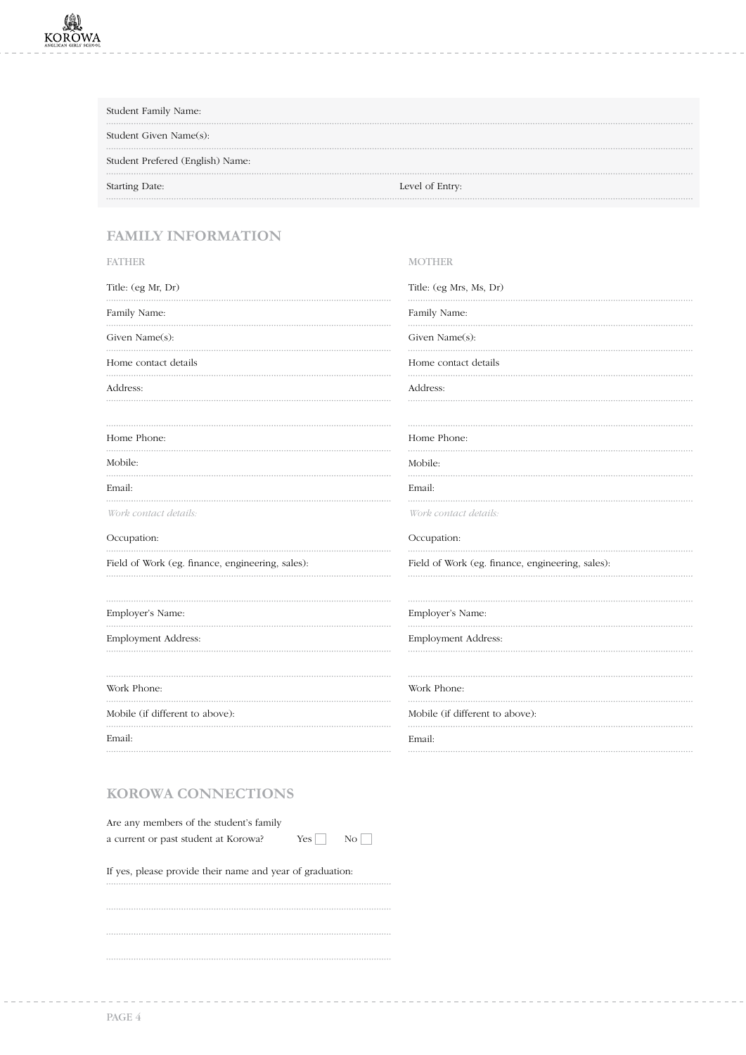| Student Family Name:             |                 |
|----------------------------------|-----------------|
| Student Given Name(s):           |                 |
| Student Prefered (English) Name: |                 |
| Starting Date:                   | Level of Entry: |

# **FAMILY INFORMATION**

| <b>FATHER</b>                                    | <b>MOTHER</b>                                    |
|--------------------------------------------------|--------------------------------------------------|
| Title: (eg Mr, Dr)                               | Title: (eg Mrs, Ms, Dr)                          |
| Family Name:                                     | Family Name:                                     |
| Given Name(s):                                   | Given Name(s):                                   |
| Home contact details                             | Home contact details                             |
| Address:                                         | Address:                                         |
| Home Phone:                                      | Home Phone:                                      |
| Mobile:                                          | Mobile:<br>.                                     |
| Email:                                           | Email:                                           |
| Work contact details:                            | Work contact details:                            |
| Occupation:                                      | Occupation:                                      |
| Field of Work (eg. finance, engineering, sales): | Field of Work (eg. finance, engineering, sales): |
| Employer's Name:                                 | Employer's Name:                                 |
| Employment Address:                              | Employment Address:                              |
| Work Phone:                                      | Work Phone:                                      |
| Mobile (if different to above):                  | Mobile (if different to above):                  |
| Email:                                           | Email:                                           |

# **KOROWA CONNECTIONS**

| Are any members of the student's family |            |                |
|-----------------------------------------|------------|----------------|
| a current or past student at Korowa?    | $Yes \Box$ | N <sub>O</sub> |

If yes, please provide their name and year of graduation:

<u> 2222222222</u>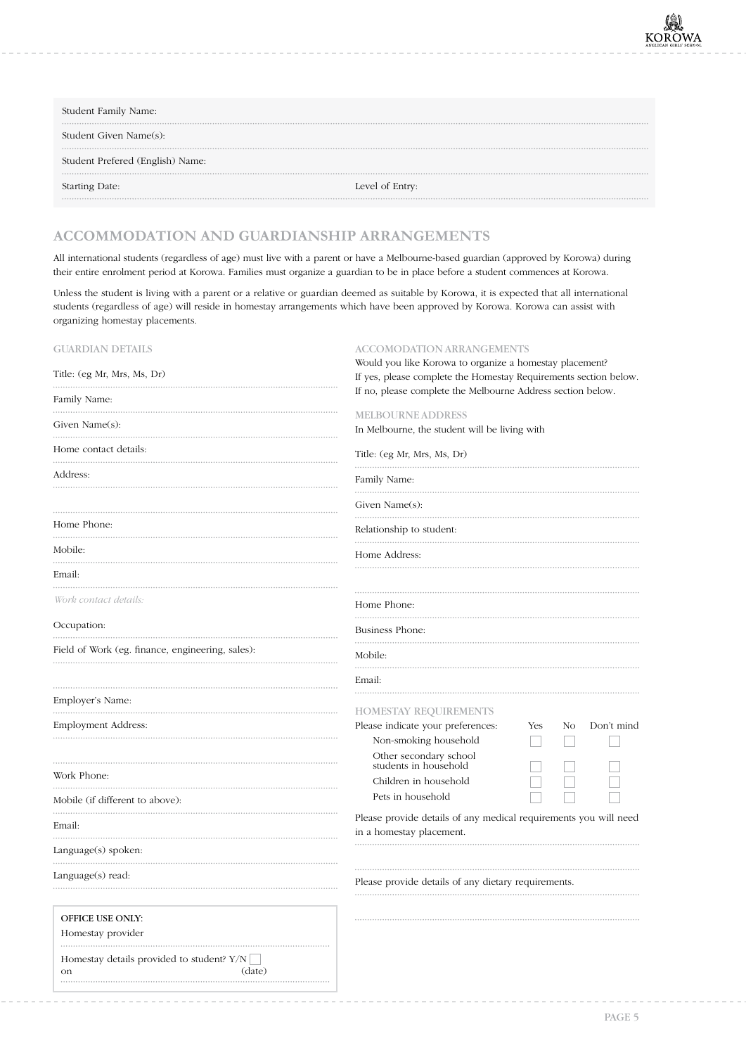| Student Family Name:             |                 |
|----------------------------------|-----------------|
| Student Given Name(s):           |                 |
| Student Prefered (English) Name: |                 |
| Starting Date:                   | Level of Entry: |

# **ACCOMMODATION AND GUARDIANSHIP ARRANGEMENTS**

All international students (regardless of age) must live with a parent or have a Melbourne-based guardian (approved by Korowa) during their entire enrolment period at Korowa. Families must organize a guardian to be in place before a student commences at Korowa.

Unless the student is living with a parent or a relative or guardian deemed as suitable by Korowa, it is expected that all international students (regardless of age) will reside in homestay arrangements which have been approved by Korowa. Korowa can assist with organizing homestay placements.

| <b>GUARDIAN DETAILS</b>                          | <b>ACCOMODATION ARRANGEMENTS</b>                                                             |
|--------------------------------------------------|----------------------------------------------------------------------------------------------|
|                                                  | Would you like Korowa to organize a homestay placement?                                      |
| Title: (eg Mr, Mrs, Ms, Dr)                      | If yes, please complete the Homestay Requirements section below.                             |
| Family Name:                                     | If no, please complete the Melbourne Address section below.                                  |
|                                                  | <b>MELBOURNE ADDRESS</b>                                                                     |
| Given Name $(s)$ :                               | In Melbourne, the student will be living with                                                |
| Home contact details:                            |                                                                                              |
|                                                  | Title: (eg Mr, Mrs, Ms, Dr)                                                                  |
| Address:                                         | Family Name:                                                                                 |
|                                                  | Given Name $(s)$ :                                                                           |
| Home Phone:                                      | Relationship to student:                                                                     |
| Mobile:                                          | Home Address:                                                                                |
| Email:                                           |                                                                                              |
| Work contact details:                            | Home Phone:                                                                                  |
| Occupation:                                      | Business Phone:                                                                              |
| Field of Work (eg. finance, engineering, sales): | Mobile:                                                                                      |
|                                                  | Email:                                                                                       |
| Employer's Name:                                 | <b>HOMESTAY REQUIREMENTS</b>                                                                 |
| Employment Address:                              | Please indicate your preferences:<br>Don't mind<br>Yes<br>No                                 |
|                                                  | Non-smoking household                                                                        |
|                                                  | Other secondary school<br>students in household                                              |
| Work Phone:                                      | Children in household                                                                        |
|                                                  | Pets in household                                                                            |
| Mobile (if different to above):                  |                                                                                              |
| Email:                                           | Please provide details of any medical requirements you will need<br>in a homestay placement. |
| Language(s) spoken:                              |                                                                                              |
| Language(s) read:                                | Please provide details of any dietary requirements.                                          |
| <b>OFFICE USE ONLY:</b>                          |                                                                                              |
| Homestay provider                                |                                                                                              |
|                                                  |                                                                                              |
| Homestay details provided to student? Y/N        |                                                                                              |
| (date)<br>on                                     |                                                                                              |
|                                                  |                                                                                              |